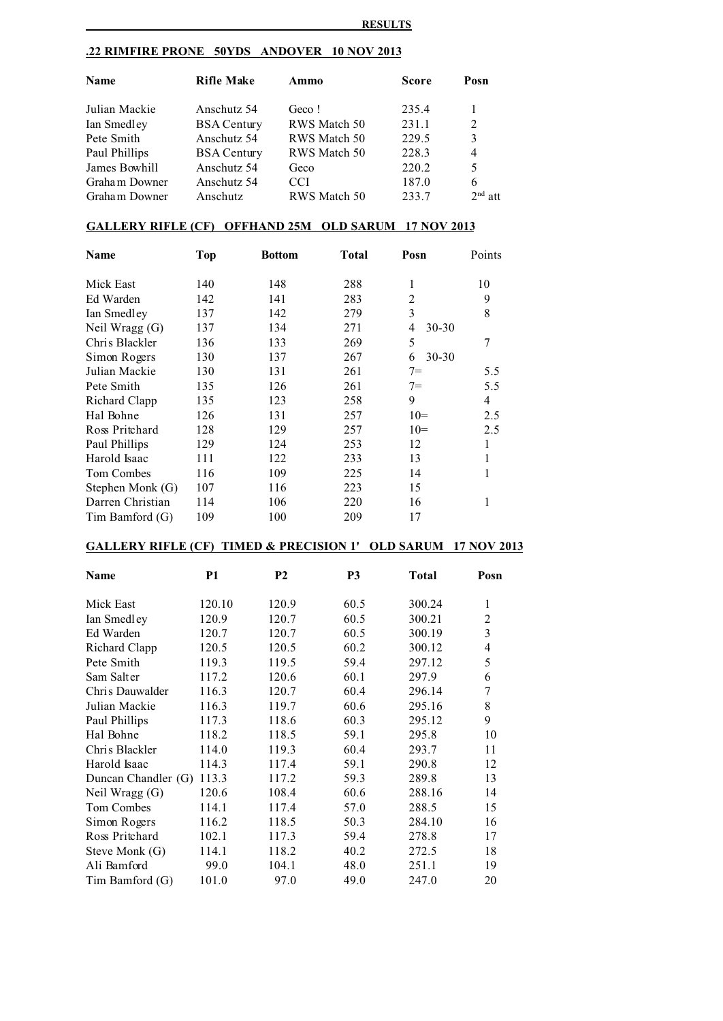## **.22 RIMFIRE PRONE 50YDS ANDOVER 10 NOV 2013**

| <b>Name</b>   | <b>Rifle Make</b>  | Ammo         | <b>Score</b> | Posn           |  |
|---------------|--------------------|--------------|--------------|----------------|--|
| Julian Mackie | Anschutz 54        | Geco!        | 235.4        | 1              |  |
| Ian Smedley   | <b>BSA Century</b> | RWS Match 50 | 231.1        | 2              |  |
| Pete Smith    | Anschutz 54        | RWS Match 50 | 229.5        | 3              |  |
| Paul Phillips | <b>BSA Century</b> | RWS Match 50 | 228.3        | $\overline{4}$ |  |
| James Bowhill | Anschutz 54        | Geco         | 220.2        | 5              |  |
| Graham Downer | Anschutz 54        | CCI          | 187.0        | 6              |  |
| Graham Downer | Anschutz           | RWS Match 50 | 233.7        | $2nd$ att      |  |

## **GALLERY RIFLE (CF) OFFHAND 25M OLD SARUM 17 NOV 2013**

| Name              | <b>Top</b> | <b>Bottom</b> | Total | Posn           | Points |
|-------------------|------------|---------------|-------|----------------|--------|
| Mick East         | 140        | 148           | 288   | 1              | 10     |
| Ed Warden         | 142        | 141           | 283   | 2              | 9      |
| Ian Smedley       | 137        | 142           | 279   | 3              | 8      |
| Neil Wragg (G)    | 137        | 134           | 271   | 4<br>$30 - 30$ |        |
| Chris Blackler    | 136        | 133           | 269   | 5              | 7      |
| Simon Rogers      | 130        | 137           | 267   | 30-30<br>6     |        |
| Julian Mackie     | 130        | 131           | 261   | $7 =$          | 5.5    |
| Pete Smith        | 135        | 126           | 261   | $7 =$          | 5.5    |
| Richard Clapp     | 135        | 123           | 258   | 9              | 4      |
| Hal Bohne         | 126        | 131           | 257   | $10=$          | 2.5    |
| Ross Pritchard    | 128        | 129           | 257   | $10=$          | 2.5    |
| Paul Phillips     | 129        | 124           | 253   | 12             |        |
| Harold Isaac      | 111        | 122           | 233   | 13             |        |
| <b>Tom Combes</b> | 116        | 109           | 225   | 14             |        |
| Stephen Monk (G)  | 107        | 116           | 223   | 15             |        |
| Darren Christian  | 114        | 106           | 220   | 16             |        |
| Tim Bamford (G)   | 109        | 100           | 209   | 17             |        |

## **GALLERY RIFLE (CF) TIMED & PRECISION 1' OLD SARUM 17 NOV 2013**

| Name                      | <b>P1</b> | P <sub>2</sub> | <b>P3</b> | <b>Total</b> | Posn |
|---------------------------|-----------|----------------|-----------|--------------|------|
| Mick East                 | 120.10    | 120.9          | 60.5      | 300.24       | 1    |
| Ian Smedley               | 120.9     | 120.7          | 60.5      | 300.21       | 2    |
| Ed Warden                 | 120.7     | 120.7          | 60.5      | 300.19       | 3    |
| Richard Clapp             | 120.5     | 120.5          | 60.2      | 300.12       | 4    |
| Pete Smith                | 119.3     | 119.5          | 59.4      | 297.12       | 5    |
| Sam Salter                | 117.2     | 120.6          | 60.1      | 297.9        | 6    |
| Chris Dauwalder           | 116.3     | 120.7          | 60.4      | 296.14       | 7    |
| Julian Mackie             | 116.3     | 119.7          | 60.6      | 295.16       | 8    |
| Paul Phillips             | 117.3     | 118.6          | 60.3      | 295.12       | 9    |
| Hal Bohne                 | 118.2     | 118.5          | 59.1      | 295.8        | 10   |
| Chris Blackler            | 114.0     | 119.3          | 60.4      | 293.7        | 11   |
| Harold Isaac              | 114.3     | 117.4          | 59.1      | 290.8        | 12   |
| Duncan Chandler (G) 113.3 |           | 117.2          | 59.3      | 289.8        | 13   |
| Neil Wragg $(G)$          | 120.6     | 108.4          | 60.6      | 288.16       | 14   |
| Tom Combes                | 114.1     | 117.4          | 57.0      | 288.5        | 15   |
| Simon Rogers              | 116.2     | 118.5          | 50.3      | 284.10       | 16   |
| Ross Pritchard            | 102.1     | 117.3          | 59.4      | 278.8        | 17   |
| Steve Monk (G)            | 114.1     | 118.2          | 40.2      | 272.5        | 18   |
| Ali Bamford               | 99.0      | 104.1          | 48.0      | 251.1        | 19   |
| Tim Bamford (G)           | 101.0     | 97.0           | 49.0      | 247.0        | 20   |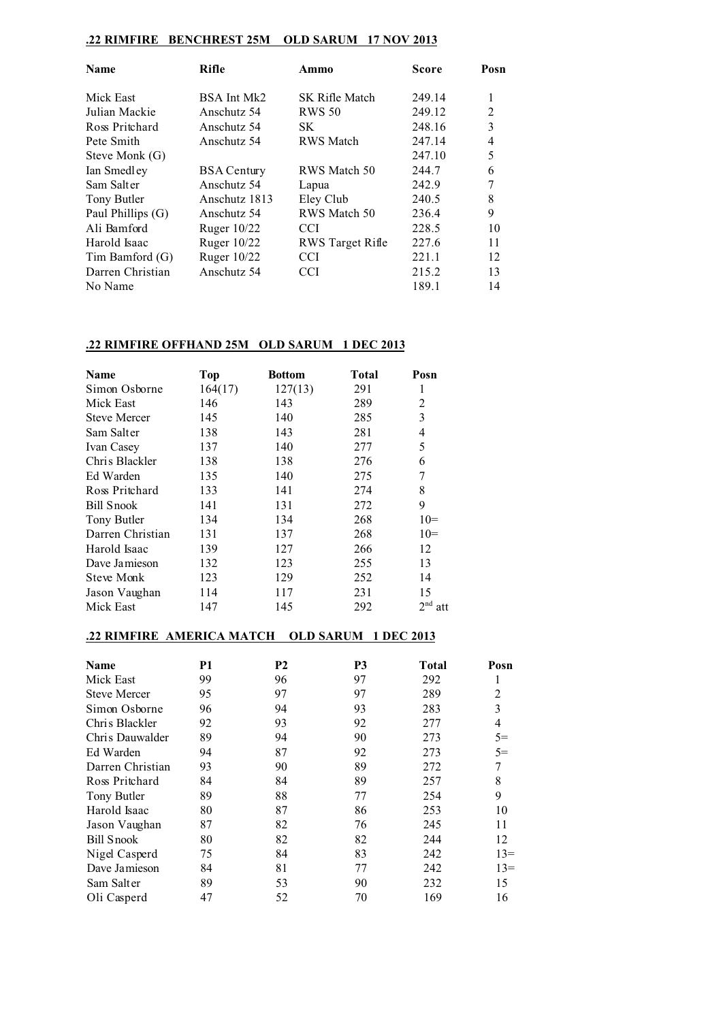## **.22 RIMFIRE BENCHREST 25M OLD SARUM 17 NOV 2013**

| <b>Name</b>       | Rifle              | Ammo                  | Score  | Posn           |
|-------------------|--------------------|-----------------------|--------|----------------|
| Mick East         | BSA Int Mk2        | <b>SK Rifle Match</b> | 249.14 | 1              |
| Julian Mackie     | Anschutz 54        | <b>RWS 50</b>         | 249.12 | 2              |
| Ross Pritchard    | Anschutz 54        | SK                    | 248.16 | 3              |
| Pete Smith        | Anschutz 54        | <b>RWS</b> Match      | 247.14 | $\overline{4}$ |
| Steve Monk (G)    |                    |                       | 247.10 | 5              |
| Ian Smedley       | <b>BSA Century</b> | RWS Match 50          | 244.7  | 6              |
| Sam Salter        | Anschutz 54        | Lapua                 | 242.9  | 7              |
| Tony Butler       | Anschutz 1813      | Eley Club             | 240.5  | 8              |
| Paul Phillips (G) | Anschutz 54        | RWS Match 50          | 236.4  | 9              |
| Ali Bamford       | Ruger $10/22$      | CCI                   | 228.5  | 10             |
| Harold Isaac      | Ruger 10/22        | RWS Target Rifle      | 227.6  | 11             |
| Tim Bamford (G)   | Ruger 10/22        | <b>CCI</b>            | 221.1  | 12             |
| Darren Christian  | Anschutz 54        | <b>CCI</b>            | 215.2  | 13             |
| No Name           |                    |                       | 189.1  | 14             |

## **.22 RIMFIRE OFFHAND 25M OLD SARUM 1 DEC 2013**

| <b>Name</b>         | <b>Top</b> | <b>Bottom</b> | Total | Posn                   |
|---------------------|------------|---------------|-------|------------------------|
| Simon Osborne       | 164(17)    | 127(13)       | 291   | 1                      |
| Mick East           | 146        | 143           | 289   | 2                      |
| <b>Steve Mercer</b> | 145        | 140           | 285   | 3                      |
| Sam Salter          | 138        | 143           | 281   | $\overline{4}$         |
| Ivan Casey          | 137        | 140           | 277   | 5                      |
| Chris Blackler      | 138        | 138           | 276   | 6                      |
| Ed Warden           | 135        | 140           | 275   | 7                      |
| Ross Pritchard      | 133        | 141           | 274   | 8                      |
| Bill Snook          | 141        | 131           | 272   | 9                      |
| Tony Butler         | 134        | 134           | 268   | $10=$                  |
| Darren Christian    | 131        | 137           | 268   | $10=$                  |
| Harold Isaac        | 139        | 127           | 266   | 12                     |
| Dave Jamieson       | 132        | 123           | 255   | 13                     |
| <b>Steve Monk</b>   | 123        | 129           | 252   | 14                     |
| Jason Vaughan       | 114        | 117           | 231   | 15                     |
| Mick East           | 147        | 145           | 292   | 2 <sub>nd</sub><br>att |

## **.22 RIMFIRE AMERICA MATCH OLD SARUM 1 DEC 2013**

| Name                | P1 | <b>P2</b> | P <sub>3</sub> | Total | Posn  |
|---------------------|----|-----------|----------------|-------|-------|
| Mick East           | 99 | 96        | 97             | 292   |       |
| <b>Steve Mercer</b> | 95 | 97        | 97             | 289   | 2     |
| Simon Osborne       | 96 | 94        | 93             | 283   | 3     |
| Chris Blackler      | 92 | 93        | 92             | 277   | 4     |
| Chris Dauwalder     | 89 | 94        | 90             | 273   | $5=$  |
| Ed Warden           | 94 | 87        | 92             | 273   | $5=$  |
| Darren Christian    | 93 | 90        | 89             | 272   | 7     |
| Ross Pritchard      | 84 | 84        | 89             | 257   | 8     |
| Tony Butler         | 89 | 88        | 77             | 254   | 9     |
| Harold Isaac        | 80 | 87        | 86             | 253   | 10    |
| Jason Vaughan       | 87 | 82        | 76             | 245   | 11    |
| Bill Snook          | 80 | 82        | 82             | 244   | 12    |
| Nigel Casperd       | 75 | 84        | 83             | 242   | $13=$ |
| Dave Jamieson       | 84 | 81        | 77             | 242   | $13=$ |
| Sam Salter          | 89 | 53        | 90             | 232   | 15    |
| Oli Casperd         | 47 | 52        | 70             | 169   | 16    |